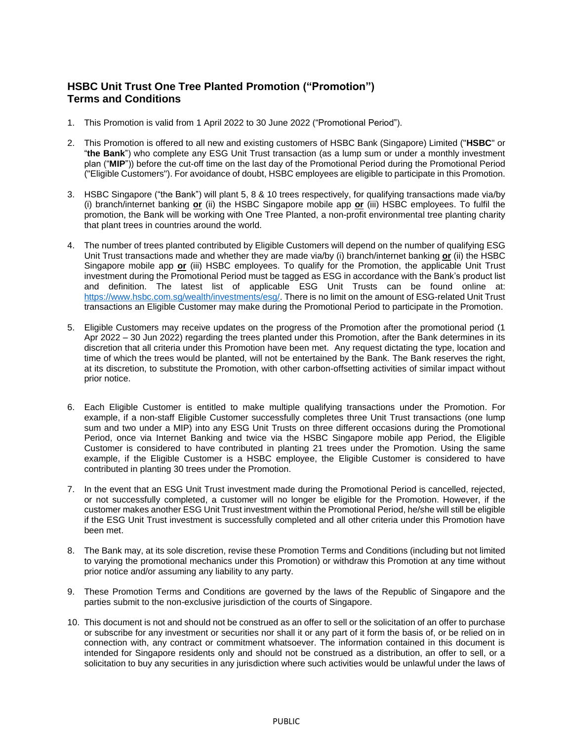## **HSBC Unit Trust One Tree Planted Promotion ("Promotion") Terms and Conditions**

- 1. This Promotion is valid from 1 April 2022 to 30 June 2022 ("Promotional Period").
- 2. This Promotion is offered to all new and existing customers of HSBC Bank (Singapore) Limited ("**HSBC**" or "**the Bank**") who complete any ESG Unit Trust transaction (as a lump sum or under a monthly investment plan ("**MIP**")) before the cut-off time on the last day of the Promotional Period during the Promotional Period ("Eligible Customers"). For avoidance of doubt, HSBC employees are eligible to participate in this Promotion.
- 3. HSBC Singapore ("the Bank") will plant 5, 8 & 10 trees respectively, for qualifying transactions made via/by (i) branch/internet banking **or** (ii) the HSBC Singapore mobile app **or** (iii) HSBC employees. To fulfil the promotion, the Bank will be working with One Tree Planted, a non-profit environmental tree planting charity that plant trees in countries around the world.
- 4. The number of trees planted contributed by Eligible Customers will depend on the number of qualifying ESG Unit Trust transactions made and whether they are made via/by (i) branch/internet banking **or** (ii) the HSBC Singapore mobile app **or** (iii) HSBC employees. To qualify for the Promotion, the applicable Unit Trust investment during the Promotional Period must be tagged as ESG in accordance with the Bank's product list and definition. The latest list of applicable ESG Unit Trusts can be found online at: [https://www.hsbc.com.sg/wealth/investments/esg/.](https://www.hsbc.com.sg/wealth/investments/esg/) There is no limit on the amount of ESG-related Unit Trust transactions an Eligible Customer may make during the Promotional Period to participate in the Promotion.
- 5. Eligible Customers may receive updates on the progress of the Promotion after the promotional period (1 Apr 2022 – 30 Jun 2022) regarding the trees planted under this Promotion, after the Bank determines in its discretion that all criteria under this Promotion have been met. Any request dictating the type, location and time of which the trees would be planted, will not be entertained by the Bank. The Bank reserves the right, at its discretion, to substitute the Promotion, with other carbon-offsetting activities of similar impact without prior notice.
- 6. Each Eligible Customer is entitled to make multiple qualifying transactions under the Promotion. For example, if a non-staff Eligible Customer successfully completes three Unit Trust transactions (one lump sum and two under a MIP) into any ESG Unit Trusts on three different occasions during the Promotional Period, once via Internet Banking and twice via the HSBC Singapore mobile app Period, the Eligible Customer is considered to have contributed in planting 21 trees under the Promotion. Using the same example, if the Eligible Customer is a HSBC employee, the Eligible Customer is considered to have contributed in planting 30 trees under the Promotion.
- 7. In the event that an ESG Unit Trust investment made during the Promotional Period is cancelled, rejected, or not successfully completed, a customer will no longer be eligible for the Promotion. However, if the customer makes another ESG Unit Trust investment within the Promotional Period, he/she will still be eligible if the ESG Unit Trust investment is successfully completed and all other criteria under this Promotion have been met.
- 8. The Bank may, at its sole discretion, revise these Promotion Terms and Conditions (including but not limited to varying the promotional mechanics under this Promotion) or withdraw this Promotion at any time without prior notice and/or assuming any liability to any party.
- 9. These Promotion Terms and Conditions are governed by the laws of the Republic of Singapore and the parties submit to the non-exclusive jurisdiction of the courts of Singapore.
- 10. This document is not and should not be construed as an offer to sell or the solicitation of an offer to purchase or subscribe for any investment or securities nor shall it or any part of it form the basis of, or be relied on in connection with, any contract or commitment whatsoever. The information contained in this document is intended for Singapore residents only and should not be construed as a distribution, an offer to sell, or a solicitation to buy any securities in any jurisdiction where such activities would be unlawful under the laws of